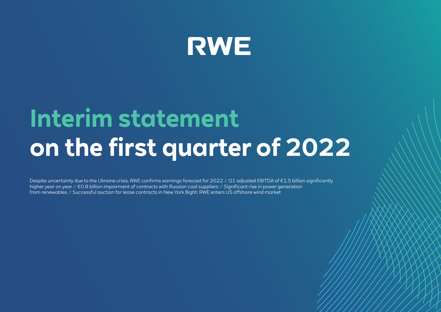

# **Interim statement on the first quarter of 2022**

Despite uncertainty due to the Ukraine crisis, RWE confirms earnings forecast for 2022 // Q1 adjusted EBITDA of €1.5 billion significantly higher year on year // €0.8 billion impairment of contracts with Russian coal suppliers // Significant rise in power generation from renewables // Successful auction for lease contracts in New York Bight: RWE enters US offshore wind market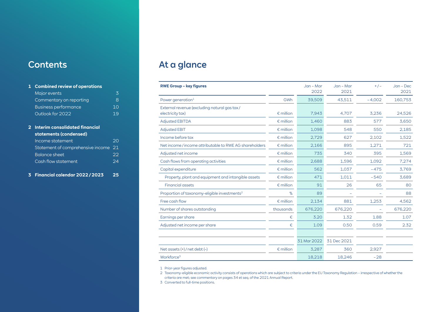# **Contents**

## **1 [Combined review of operations](#page-2-0)** [Major events](#page-2-0) 3 [Commentary on reporting](#page-7-0) and the Section of Section 2012 [Business performance](#page-9-0) and the 10 [Outlook for 2022](#page-18-0) 19 **[2 Interim consolidated financial](#page-19-0)  [statements \(condensed\)](#page-19-0)** [Income statement](#page-19-0) 20 [Statement of comprehensive income](#page-20-0) 21 [Balance sheet](#page-21-0) 22 [Cash flow statement](#page-23-0) 24

#### **[3 Financial calendar 2022 / 2023](#page-24-0) 25**

# At a glance

| <b>RWE Group - key figures</b>                                   |                    | Jan - Mar   | $Jan - Mar$ | $+/-$    | $Jan - Dec$ |
|------------------------------------------------------------------|--------------------|-------------|-------------|----------|-------------|
|                                                                  |                    | 2022        | 2021        |          | 2021        |
| Power generation <sup>1</sup>                                    | GWh                | 39,509      | 43,511      | $-4.002$ | 160,753     |
| External revenue (excluding natural gas tax/<br>electricity tax) | $\epsilon$ million | 7,943       | 4.707       | 3,236    | 24,526      |
| <b>Adjusted EBITDA</b>                                           | $\epsilon$ million | 1,460       | 883         | 577      | 3,650       |
| <b>Adjusted EBIT</b>                                             | $\epsilon$ million | 1.098       | 548         | 550      | 2,185       |
| Income before tax                                                | $\epsilon$ million | 2,729       | 627         | 2,102    | 1,522       |
| Net income/income attributable to RWE AG shareholders            | $\epsilon$ million | 2,166       | 895         | 1.271    | 721         |
| Adjusted net income                                              | $\epsilon$ million | 735         | 340         | 395      | 1,569       |
| Cash flows from operating activities                             | $\epsilon$ million | 2,688       | 1,596       | 1,092    | 7,274       |
| Capital expenditure                                              | $\epsilon$ million | 562         | 1,037       | $-475$   | 3,769       |
| Property, plant and equipment and intangible assets              | $\epsilon$ million | 471         | 1,011       | $-540$   | 3,689       |
| <b>Financial assets</b>                                          | $\epsilon$ million | 91          | 26          | 65       | 80          |
| Proportion of taxonomy-eligible investments <sup>2</sup>         | %                  | 89          |             |          | 88          |
| Free cash flow                                                   | $\epsilon$ million | 2,134       | 881         | 1,253    | 4,562       |
| Number of shares outstanding                                     | thousands          | 676,220     | 676,220     |          | 676,220     |
| Earnings per share                                               | €                  | 3.20        | 1.32        | 1.88     | 1.07        |
| Adjusted net income per share                                    | €                  | 1.09        | 0.50        | 0.59     | 2.32        |
|                                                                  |                    |             |             |          |             |
|                                                                  |                    | 31 Mar 2022 | 31 Dec 2021 |          |             |
| Net assets $(+)$ / net debt $(-)$                                | $\epsilon$ million | 3,287       | 360         | 2,927    |             |
| Workforce <sup>3</sup>                                           |                    | 18,218      | 18,246      | $-28$    |             |

1 Prior-year figures adjusted.

3 Converted to full-time positions.

<sup>2</sup> Taxonomy-eligible economic activity consists of operations which are subject to criteria under the EU Taxonomy Regulation – irrespective of whether the criteria are met; see commentary on pages 34 et seq. of the 2021 Annual Report.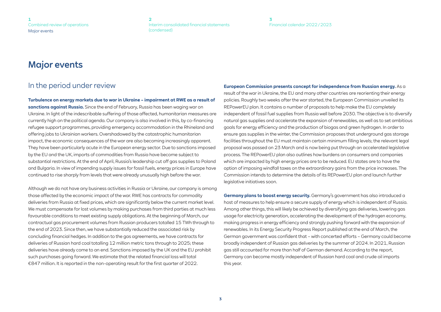**[3](#page-24-0)** [Financial calendar 2022 / 2023](#page-24-0)

## <span id="page-2-0"></span>Major events

## In the period under review

**Turbulence on energy markets due to war in Ukraine – impairment at RWE as a result of sanctions against Russia.** Since the end of February, Russia has been waging war on Ukraine. In light of the indescribable suffering of those affected, humanitarian measures are currently high on the political agenda. Our company is also involved in this, by co-financing refugee support programmes, providing emergency accommodation in the Rhineland and offering jobs to Ukrainian workers. Overshadowed by the catastrophic humanitarian impact, the economic consequences of the war are also becoming increasingly apparent. They have been particularly acute in the European energy sector. Due to sanctions imposed by the EU and the UK, imports of commodities from Russia have become subject to substantial restrictions. At the end of April, Russia's leadership cut off gas supplies to Poland and Bulgaria. In view of impending supply issues for fossil fuels, energy prices in Europe have continued to rise sharply from levels that were already unusually high before the war.

Although we do not have any business activities in Russia or Ukraine, our company is among those affected by the economic impact of the war. RWE has contracts for commodity deliveries from Russia at fixed prices, which are significantly below the current market level. We must compensate for lost volumes by making purchases from third parties at much less favourable conditions to meet existing supply obligations. At the beginning of March, our contractual gas procurement volumes from Russian producers totalled 15 TWh through to the end of 2023. Since then, we have substantially reduced the associated risk by concluding financial hedges. In addition to the gas agreements, we have contracts for deliveries of Russian hard coal totalling 12 million metric tons through to 2025; these deliveries have already come to an end. Sanctions imposed by the UK and the EU prohibit such purchases going forward. We estimate that the related financial loss will total €847 million. It is reported in the non-operating result for the first quarter of 2022.

**European Commission presents concept for independence from Russian energy.** As a result of the war in Ukraine, the EU and many other countries are reorienting their energy policies. Roughly two weeks after the war started, the European Commission unveiled its REPowerEU plan. It contains a number of proposals to help make the EU completely independent of fossil fuel supplies from Russia well before 2030. The objective is to diversify natural gas supplies and accelerate the expansion of renewables, as well as to set ambitious goals for energy efficiency and the production of biogas and green hydrogen. In order to ensure gas supplies in the winter, the Commission proposes that underground gas storage facilities throughout the EU must maintain certain minimum filling levels; the relevant legal proposal was passed on 23 March and is now being put through an accelerated legislative process. The REPowerEU plan also outlines how burdens on consumers and companies which are impacted by high energy prices are to be reduced. EU states are to have the option of imposing windfall taxes on the extraordinary gains from the price increases. The Commission intends to determine the details of its REPowerEU plan and launch further legislative initiatives soon.

**Germany plans to boost energy security.** Germany's government has also introduced a host of measures to help ensure a secure supply of energy which is independent of Russia. Among other things, this will likely be achieved by diversifying gas deliveries, lowering gas usage for electricity generation, accelerating the development of the hydrogen economy, making progress in energy efficiency and strongly pushing forward with the expansion of renewables. In its Energy Security Progress Report published at the end of March, the German government was confident that – with concerted efforts – Germany could become broadly independent of Russian gas deliveries by the summer of 2024. In 2021, Russian gas still accounted for more than half of German demand. According to the report, Germany can become mostly independent of Russian hard coal and crude oil imports this year.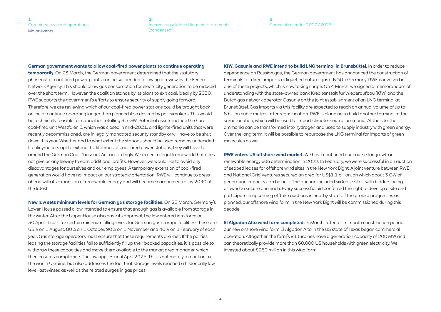#### **[3](#page-24-0)** [Financial calendar 2022 / 2023](#page-24-0)

#### **German government wants to allow coal-fired power plants to continue operating**

**temporarily.** On 23 March, the German government determined that the statutory phaseout of coal-fired power plants can be suspended following a review by the Federal Network Agency. This should allow gas consumption for electricity generation to be reduced over the short term. However, the coalition stands by its plans to exit coal, ideally by 2030. RWE supports the government's efforts to ensure security of supply going forward. Therefore, we are reviewing which of our coal-fired power stations could be brought back online or continue operating longer than planned if so desired by policymakers. This would be technically feasible for capacities totalling 3.5 GW. Potential assets include the hard coal-fired unit Westfalen E, which was closed in mid-2021, and lignite-fired units that were recently decommissioned, are in legally mandated security standby or will have to be shut down this year. Whether and to what extent the stations should be used remains undecided. If policymakers opt to extend the lifetimes of coal-fired power stations, they will have to amend the German Coal Phaseout Act accordingly. We expect a legal framework that does not give us any leeway to earn additional profits. However, we would like to avoid any disadvantages for ourselves and our employees. A temporary extension of coal-fired generation would have no impact on our strategic orientation: RWE will continue to press ahead with its expansion of renewable energy and will become carbon neutral by 2040 at the latest.

**New law sets minimum levels for German gas storage facilities.** On 25 March, Germany's Lower House passed a law intended to ensure that enough gas is available from storage in the winter. After the Upper House also gave its approval, the law entered into force on 30 April. It calls for certain minimum filling levels for German gas storage facilities: these are 65 % on 1 August, 80 % on 1 October, 90 % on 1 November and 40 % on 1 February of each year. Gas storage operators must ensure that these requirements are met. If the parties leasing the storage facilities fail to sufficiently fill up their booked capacities, it is possible to withdraw these capacities and make them available to the market area manager, which then ensures compliance. The law applies until April 2025. This is not merely a reaction to the war in Ukraine, but also addresses the fact that storage levels reached a historically low level last winter, as well as the related surges in gas prices.

**KfW, Gasunie and RWE intend to build LNG terminal in Brunsbüttel.** In order to reduce dependence on Russian gas, the German government has announced the construction of terminals for direct imports of liquefied natural gas (LNG) to Germany. RWE is involved in one of these projects, which is now taking shape. On 4 March, we signed a memorandum of understanding with the state-owned bank Kreditanstalt für Wiederaufbau (KfW) and the Dutch gas network operator Gasunie on the joint establishment of an LNG terminal at Brunsbüttel. Gas imports via this facility are expected to reach an annual volume of up to 8 billion cubic metres after regasification. RWE is planning to build another terminal at the same location, which will be used to import climate-neutral ammonia. At the site, the ammonia can be transformed into hydrogen and used to supply industry with green energy. Over the long term, it will be possible to repurpose the LNG terminal for imports of green molecules as well.

**RWE enters US offshore wind market.** We have continued our course for growth in renewable energy with determination in 2022. In February, we were successful in an auction of seabed leases for offshore wind sites in the New York Bight. A joint venture between RWE and National Grid Ventures secured an area for US\$1.1 billion, on which about 3 GW of generation capacity can be built. The auction included six lease sites, with bidders being allowed to secure one each. Every successful bid conferred the right to develop a site and participate in upcoming offtake auctions in nearby states. If the project progresses as planned, our offshore wind farm in the New York Bight will be commissioned during this decade.

**El Algodon Alto wind farm completed.** In March, after a 15-month construction period, our new onshore wind farm El Algodon Alto in the US state of Texas began commercial operation. Altogether, the farm's 91 turbines have a generation capacity of 200 MW and can theoretically provide more than 60,000 US households with green electricity. We invested about €280 million in this wind farm.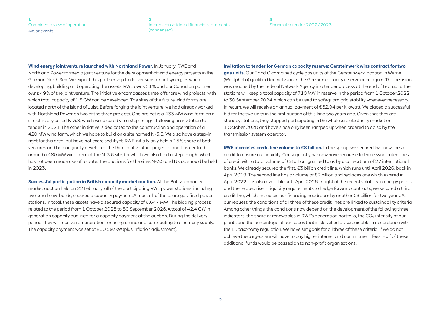**[3](#page-24-0)** [Financial calendar 2022 / 2023](#page-24-0)

**Wind energy joint venture launched with Northland Power.** In January, RWE and Northland Power formed a joint venture for the development of wind energy projects in the German North Sea. We expect this partnership to deliver substantial synergies when developing, building and operating the assets. RWE owns 51 % and our Canadian partner owns 49 % of the joint venture. The initiative encompasses three offshore wind projects, with which total capacity of 1.3 GW can be developed. The sites of the future wind farms are located north of the island of Juist. Before forging the joint venture, we had already worked with Northland Power on two of the three projects. One project is a 433 MW wind farm on a site officially called N-3.8, which we secured via a step-in right following an invitation to tender in 2021. The other initiative is dedicated to the construction and operation of a 420 MW wind farm, which we hope to build on a site named N-3.5. We also have a step-in right for this area, but have not exercised it yet. RWE initially only held a 15 % share of both ventures and had originally developed the third joint venture project alone. It is centred around a 480 MW wind farm at the N-3.6 site, for which we also hold a step-in right which has not been made use of to date. The auctions for the sites N-3.5 and N-3.6 should be held in 2023.

**Successful participation in British capacity market auction.** At the British capacity market auction held on 22 February, all of the participating RWE power stations, including two small new-builds, secured a capacity payment. Almost all of these are gas-fired power stations. In total, these assets have a secured capacity of 6,647 MW. The bidding process related to the period from 1 October 2025 to 30 September 2026. A total of 42.4 GW in generation capacity qualified for a capacity payment at the auction. During the delivery period, they will receive remuneration for being online and contributing to electricity supply. The capacity payment was set at £30.59 / kW (plus inflation adjustment).

#### **Invitation to tender for German capacity reserve: Gersteinwerk wins contract for two**

**gas units.** Our F and G combined cycle gas units at the Gersteinwerk location in Werne (Westphalia) qualified for inclusion in the German capacity reserve once again. This decision was reached by the Federal Network Agency in a tender process at the end of February. The stations will keep a total capacity of 710 MW in reserve in the period from 1 October 2022 to 30 September 2024, which can be used to safeguard grid stability whenever necessary. In return, we will receive an annual payment of €62.94 per kilowatt. We placed a successful bid for the two units in the first auction of this kind two years ago. Given that they are standby stations, they stopped participating in the wholesale electricity market on 1 October 2020 and have since only been ramped up when ordered to do so by the transmission system operator.

**RWE increases credit line volume to €8 billion.** In the spring, we secured two new lines of credit to ensure our liquidity. Consequently, we now have recourse to three syndicated lines of credit with a total volume of €8 billion, granted to us by a consortium of 27 international banks. We already secured the first, €3 billion credit line, which runs until April 2026, back in April 2019. The second line has a volume of €2 billion and replaces one which expired in April 2022; it is also available until April 2026. In light of the recent volatility in energy prices and the related rise in liquidity requirements to hedge forward contracts, we secured a third credit line, which increases our financing headroom by another €3 billion for two years. At our request, the conditions of all three of these credit lines are linked to sustainability criteria. Among other things, the conditions now depend on the development of the following three indicators: the share of renewables in RWE's generation portfolio, the  $CO<sub>2</sub>$  intensity of our plants and the percentage of our capex that is classified as sustainable in accordance with the EU taxonomy regulation. We have set goals for all three of these criteria. If we do not achieve the targets, we will have to pay higher interest and commitment fees. Half of these additional funds would be passed on to non-profit organisations.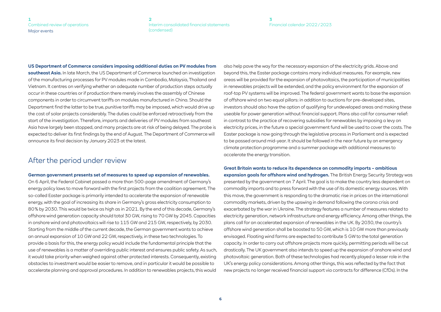#### **[3](#page-24-0)** [Financial calendar 2022 / 2023](#page-24-0)

**US Department of Commerce considers imposing additional duties on PV modules from southeast Asia.** In late March, the US Department of Commerce launched an investigation of the manufacturing processes for PV modules made in Cambodia, Malaysia, Thailand and Vietnam. It centres on verifying whether an adequate number of production steps actually occur in these countries or if production there merely involves the assembly of Chinese components in order to circumvent tariffs on modules manufactured in China. Should the Department find the latter to be true, punitive tariffs may be imposed, which would drive up the cost of solar projects considerably. The duties could be enforced retroactively from the start of the investigation. Therefore, imports and deliveries of PV modules from southeast Asia have largely been stopped, and many projects are at risk of being delayed. The probe is expected to deliver its first findings by the end of August. The Department of Commerce will announce its final decision by January 2023 at the latest.

## After the period under review

#### **German government presents set of measures to speed up expansion of renewables.**

On 6 April, the Federal Cabinet passed a more than 500-page amendment of Germany's energy policy laws to move forward with the first projects from the coalition agreement. The so-called Easter package is primarily intended to accelerate the expansion of renewable energy, with the goal of increasing its share in Germany's gross electricity consumption to 80 % by 2030. This would be twice as high as in 2021. By the end of this decade, Germany's offshore wind generation capacity should total 30 GW, rising to 70 GW by 2045. Capacities in onshore wind and photovoltaics will rise to 115 GW and 215 GW, respectively, by 2030. Starting from the middle of the current decade, the German government wants to achieve an annual expansion of 10 GW and 22 GW, respectively, in these two technologies. To provide a basis for this, the energy policy would include the fundamental principle that the use of renewables is a matter of overriding public interest and ensures public safety. As such, it would take priority when weighed against other protected interests. Consequently, existing obstacles to investment would be easier to remove, and in particular it would be possible to accelerate planning and approval procedures. In addition to renewables projects, this would also help pave the way for the necessary expansion of the electricity grids. Above and beyond this, the Easter package contains many individual measures. For example, new areas will be provided for the expansion of photovoltaics, the participation of municipalities in renewables projects will be extended, and the policy environment for the expansion of roof-top PV systems will be improved. The federal government wants to base the expansion of offshore wind on two equal pillars: in addition to auctions for pre-developed sites, investors should also have the option of qualifying for undeveloped areas and making these useable for power generation without financial support. Plans also call for consumer relief: in contrast to the practice of recovering subsidies for renewables by imposing a levy on electricity prices, in the future a special government fund will be used to cover the costs. The Easter package is now going through the legislative process in Parliament and is expected to be passed around mid-year. It should be followed in the near future by an emergency climate protection programme and a summer package with additional measures to accelerate the energy transition.

#### **Great Britain wants to reduce its dependence on commodity imports – ambitious**

**expansion goals for offshore wind and hydrogen.** The British Energy Security Strategy was presented by the government on 7 April. The goal is to make the country less dependent on commodity imports and to press forward with the use of its domestic energy sources. With this move, the government is responding to the dramatic rise in prices on the international commodity markets, driven by the upswing in demand following the corona crisis and exacerbated by the war in Ukraine. The strategy features a number of measures related to electricity generation, network infrastructure and energy efficiency. Among other things, the plans call for an accelerated expansion of renewables in the UK. By 2030, the country's offshore wind generation shall be boosted to 50 GW, which is 10 GW more than previously envisaged. Floating wind farms are expected to contribute 5 GW to the total generation capacity. In order to carry out offshore projects more quickly, permitting periods will be cut drastically. The UK government also intends to speed up the expansion of onshore wind and photovoltaic generation. Both of these technologies had recently played a lesser role in the UK's energy policy considerations. Among other things, this was reflected by the fact that new projects no longer received financial support via contracts for difference (CfDs). In the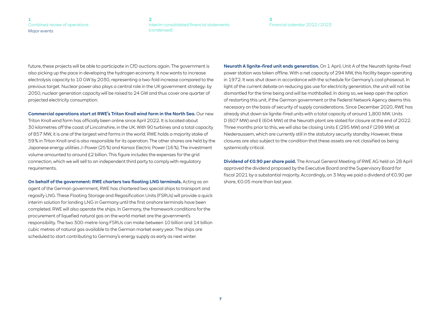#### **[3](#page-24-0)** [Financial calendar 2022 / 2023](#page-24-0)

future, these projects will be able to participate in CfD auctions again. The government is also picking up the pace in developing the hydrogen economy. It now wants to increase electrolysis capacity to 10 GW by 2030, representing a two-fold increase compared to the previous target. Nuclear power also plays a central role in the UK government strategy: by 2050, nuclear generation capacity will be raised to 24 GW and thus cover one quarter of projected electricity consumption.

**Commercial operations start at RWE's Triton Knoll wind farm in the North Sea.** Our new Triton Knoll wind farm has officially been online since April 2022. It is located about 30 kilometres off the coast of Lincolnshire, in the UK. With 90 turbines and a total capacity of 857 MW, it is one of the largest wind farms in the world. RWE holds a majority stake of 59 % in Triton Knoll and is also responsible for its operation. The other shares are held by the Japanese energy utilities J-Power (25 %) and Kansai Electric Power (16 %). The investment volume amounted to around £2 billion. This figure includes the expenses for the grid connection, which we will sell to an independent third party to comply with regulatory requirements.

**On behalf of the government: RWE charters two floating LNG terminals.** Acting as an agent of the German government, RWE has chartered two special ships to transport and regasify LNG. These Floating Storage and Regasification Units (FSRUs) will provide a quick interim solution for landing LNG in Germany until the first onshore terminals have been completed. RWE will also operate the ships. In Germany, the framework conditions for the procurement of liquefied natural gas on the world market are the government's responsibility. The two 300-metre-long FSRUs can make between 10 billion and 14 billion cubic metres of natural gas available to the German market every year. The ships are scheduled to start contributing to Germany's energy supply as early as next winter.

**Neurath A lignite-fired unit ends generation.** On 1 April, Unit A of the Neurath lignite-fired power station was taken offline. With a net capacity of 294 MW, this facility began operating in 1972. It was shut down in accordance with the schedule for Germany's coal phaseout. In light of the current debate on reducing gas use for electricity generation, the unit will not be dismantled for the time being and will be mothballed. In doing so, we keep open the option of restarting this unit, if the German government or the Federal Network Agency deems this necessary on the basis of security of supply considerations. Since December 2020, RWE has already shut down six lignite-fired units with a total capacity of around 1,800 MW. Units D (607 MW) and E (604 MW) at the Neurath plant are slated for closure at the end of 2022. Three months prior to this, we will also be closing Units E (295 MW) and F (299 MW) at Niederaussem, which are currently still in the statutory security standby. However, these closures are also subject to the condition that these assets are not classified as being systemically critical.

**Dividend of €0.90 per share paid.** The Annual General Meeting of RWE AG held on 28 April approved the dividend proposed by the Executive Board and the Supervisory Board for fiscal 2021 by a substantial majority. Accordingly, on 3 May we paid a dividend of €0.90 per share, €0.05 more than last year.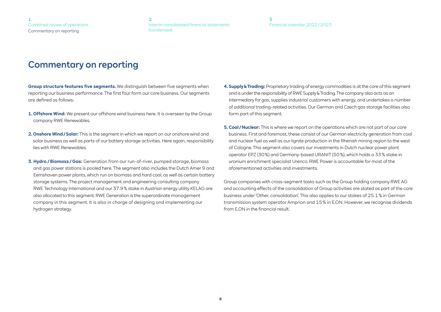**[3](#page-24-0)** [Financial calendar 2022 / 2023](#page-24-0)

## <span id="page-7-0"></span>Commentary on reporting

**Group structure features five segments.** We distinguish between five segments when reporting our business performance. The first four form our core business. Our segments are defined as follows:

- **1. Offshore Wind:** We present our offshore wind business here. It is overseen by the Group company RWE Renewables.
- **2. Onshore Wind / Solar:** This is the segment in which we report on our onshore wind and solar business as well as parts of our battery storage activities. Here again, responsibility lies with RWE Renewables.
- **3. Hydro / Biomass / Gas:** Generation from our run-of-river, pumped storage, biomass and gas power stations is pooled here. The segment also includes the Dutch Amer 9 and Eemshaven power plants, which run on biomass and hard coal, as well as certain battery storage systems. The project management and engineering consulting company RWE Technology International and our 37.9 % stake in Austrian energy utility KELAG are also allocated to this segment. RWE Generation is the superordinate management company in this segment. It is also in charge of designing and implementing our hydrogen strategy.
- **4. Supply & Trading:** Proprietary trading of energy commodities is at the core of this segment and is under the responsibility of RWE Supply & Trading. The company also acts as an intermediary for gas, supplies industrial customers with energy, and undertakes a number of additional trading-related activities. Our German and Czech gas storage facilities also form part of this segment.
- **5. Coal / Nuclear:** This is where we report on the operations which are not part of our core business. First and foremost, these consist of our German electricity generation from coal and nuclear fuel as well as our lignite production in the Rhenish mining region to the west of Cologne. This segment also covers our investments in Dutch nuclear power plant operator EPZ (30 %) and Germany-based URANIT (50 %), which holds a 33 % stake in uranium enrichment specialist Urenco. RWE Power is accountable for most of the aforementioned activities and investments.

Group companies with cross-segment tasks such as the Group holding company RWE AG and accounting effects of the consolidation of Group activities are stated as part of the core business under 'Other, consolidation'. This also applies to our stakes of 25.1 % in German transmission system operator Amprion and 15 % in E.ON. However, we recognise dividends from E.ON in the financial result.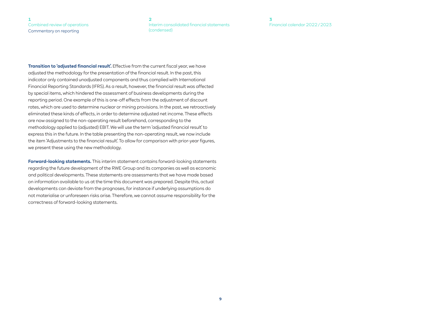**[3](#page-24-0)** [Financial calendar 2022 / 2023](#page-24-0)

**Transition to 'adjusted financial result'.** Effective from the current fiscal year, we have adjusted the methodology for the presentation of the financial result. In the past, this indicator only contained unadjusted components and thus complied with International Financial Reporting Standards (IFRS). As a result, however, the financial result was affected by special items, which hindered the assessment of business developments during the reporting period. One example of this is one-off effects from the adjustment of discount rates, which are used to determine nuclear or mining provisions. In the past, we retroactively eliminated these kinds of effects, in order to determine adjusted net income. These effects are now assigned to the non-operating result beforehand, corresponding to the methodology applied to (adjusted) EBIT. We will use the term 'adjusted financial result' to express this in the future. In the table presenting the non-operating result, we now include the item 'Adjustments to the financial result'. To allow for comparison with prior-year figures, we present these using the new methodology.

<span id="page-8-0"></span>**[1](#page-2-0)**

[Combined review of operations](#page-2-0) Commentary on reporting

**Forward-looking statements.** This interim statement contains forward-looking statements regarding the future development of the RWE Group and its companies as well as economic and political developments. These statements are assessments that we have made based on information available to us at the time this document was prepared. Despite this, actual developments can deviate from the prognoses, for instance if underlying assumptions do not materialise or unforeseen risks arise. Therefore, we cannot assume responsibility for the correctness of forward-looking statements.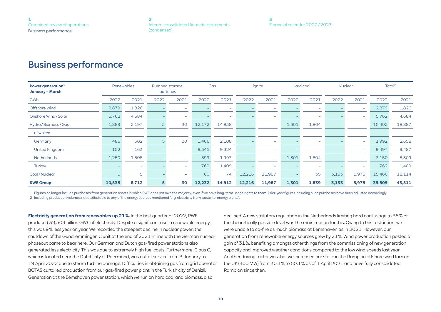# <span id="page-9-0"></span>Business performance

| Power generation <sup>1</sup><br><b>January - March</b> |        | Renewables               |      | Pumped storage,<br><b>batteries</b> |        | Gas                      |        | Lignite                  |       | Hard coal                |       | <b>Nuclear</b>           | Total <sup>2</sup> |        |
|---------------------------------------------------------|--------|--------------------------|------|-------------------------------------|--------|--------------------------|--------|--------------------------|-------|--------------------------|-------|--------------------------|--------------------|--------|
| GWh                                                     | 2022   | 2021                     | 2022 | 2021                                | 2022   | 2021                     | 2022   | 2021                     | 2022  | 2021                     | 2022  | 2021                     | 2022               | 2021   |
| Offshore Wind                                           | 2,879  | 1,826                    |      | <b>1</b>                            |        | $\overline{\phantom{a}}$ |        | $\overline{\phantom{0}}$ |       | $\overline{\phantom{a}}$ |       | -                        | 2,879              | 1,826  |
| Onshore Wind/Solar                                      | 5,762  | 4,684                    |      | $\overline{\phantom{a}}$            |        | $\overline{\phantom{a}}$ |        | $\overline{\phantom{0}}$ |       | $\overline{\phantom{a}}$ |       | $\overline{\phantom{a}}$ | 5,762              | 4,684  |
| Hydro / Biomass / Gas                                   | 1,889  | 2,197                    | 5    | 30                                  | 12,172 | 14,838                   |        | $\overline{\phantom{0}}$ | 1,301 | 1,804                    |       | $\overline{\phantom{a}}$ | 15,402             | 18,887 |
| of which:                                               |        |                          |      |                                     |        |                          |        |                          |       |                          |       |                          |                    |        |
| Germany                                                 | 486    | 502                      | 5    | 30                                  | 1,466  | 2,108                    |        | $\overline{\phantom{0}}$ |       | $\overline{\phantom{a}}$ |       | $\overline{\phantom{a}}$ | 1,992              | 2,658  |
| <b>United Kingdom</b>                                   | 152    | 163                      |      | $\sim$                              | 9,345  | 9,324                    |        | $\overline{\phantom{0}}$ |       | $\overline{\phantom{a}}$ |       | $\overline{\phantom{a}}$ | 9,497              | 9,487  |
| <b>Netherlands</b>                                      | 1,250  | 1,508                    |      | $\overline{\phantom{a}}$            | 599    | 1,997                    |        | $\overline{\phantom{a}}$ | 1,301 | 1,804                    |       | $\overline{\phantom{a}}$ | 3,150              | 5,309  |
| Turkey                                                  |        | $\overline{\phantom{0}}$ |      | $\sim$                              | 762    | 1,409                    |        | $\overline{\phantom{0}}$ |       | $\overline{\phantom{a}}$ |       | $\overline{\phantom{a}}$ | 762                | 1,409  |
| Coal/Nuclear                                            | 5      | 5                        |      | $\overline{\phantom{a}}$            | 60     | 74                       | 12,216 | 11,987                   |       | 35                       | 3,133 | 5,975                    | 15,466             | 18,114 |
| <b>RWE Group</b>                                        | 10,535 | 8,712                    | 5    | 30                                  | 12,232 | 14,912                   | 12,216 | 11,987                   | 1,301 | 1,839                    | 3,133 | 5,975                    | 39,509             | 43,511 |

1 Figures no longer include purchases from generation assets in which RWE does not own the majority, even if we have long-term usage rights to them. Prior-year figures including such purchases have been adjusted accordingly.

2 Including production volumes not attributable to any of the energy sources mentioned (e. g. electricity from waste-to-energy plants).

**Electricity generation from renewables up 21 %.** In the first quarter of 2022, RWE produced 39,509 billion GWh of electricity. Despite a significant rise in renewable energy, this was 9 % less year on year. We recorded the steepest decline in nuclear power: the shutdown of the Gundremmingen C unit at the end of 2021 in line with the German nuclear phaseout came to bear here. Our German and Dutch gas-fired power stations also generated less electricity. This was due to extremely high fuel costs. Furthermore, Claus C, which is located near the Dutch city of Roermond, was out of service from 3 January to 19 April 2022 due to steam turbine damage. Difficulties in obtaining gas from grid operator BOTAS curtailed production from our gas-fired power plant in the Turkish city of Denizli. Generation at the Eemshaven power station, which we run on hard coal and biomass, also

declined. A new statutory regulation in the Netherlands limiting hard coal usage to 35 % of the theoretically possible level was the main reason for this. Owing to this restriction, we were unable to co-fire as much biomass at Eemshaven as in 2021. However, our generation from renewable energy sources grew by 21 %. Wind power production posted a gain of 31 %, benefiting amongst other things from the commissioning of new generation capacity and improved weather conditions compared to the low wind speeds last year. Another driving factor was that we increased our stake in the Rampion offshore wind farm in the UK (400 MW) from 30.1 % to 50.1 % as of 1 April 2021 and have fully consolidated Rampion since then.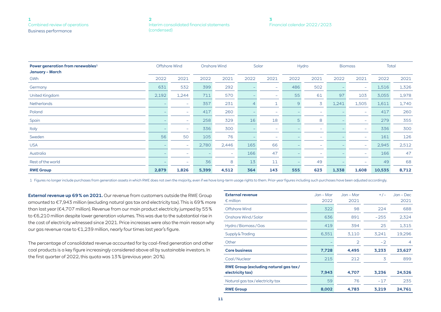| Interim consolidated financial statements |  |
|-------------------------------------------|--|
| (condensed)                               |  |

**[3](#page-24-0)** [Financial calendar 2022 / 2023](#page-24-0)

<span id="page-10-0"></span>

| Power generation from renewables <sup>1</sup><br>January - March | Offshore Wind |                          |       | Onshore Wind |      | Solar  |                | Hydro                    |       | <b>Biomass</b>           | <b>Total</b> |       |
|------------------------------------------------------------------|---------------|--------------------------|-------|--------------|------|--------|----------------|--------------------------|-------|--------------------------|--------------|-------|
| GWh                                                              | 2022          | 2021                     | 2022  | 2021         | 2022 | 2021   | 2022           | 2021                     | 2022  | 2021                     | 2022         | 2021  |
| Germany                                                          | 631           | 532                      | 399   | 292          |      | $\sim$ | 486            | 502                      |       | $\overline{\phantom{a}}$ | 1,516        | 1,326 |
| <b>United Kingdom</b>                                            | 2,192         | 1,244                    | 711   | 570          |      | $\sim$ | 55             | 61                       | 97    | 103                      | 3,055        | 1,978 |
| <b>Netherlands</b>                                               |               | -                        | 357   | 231          |      | Œ.     | $\overline{9}$ | 3                        | 1,241 | 1,505                    | 1,611        | 1,740 |
| Poland                                                           |               | $\overline{\phantom{a}}$ | 417   | 260          |      | $\sim$ |                | $\overline{\phantom{a}}$ |       | $\overline{\phantom{m}}$ | 417          | 260   |
| Spain                                                            |               | $\overline{\phantom{0}}$ | 258   | 329          | 16   | 18     | 5              | 8                        |       | $-$                      | 279          | 355   |
| Italy                                                            |               | $\overline{\phantom{0}}$ | 336   | 300          |      | $\sim$ |                | $\overline{\phantom{a}}$ |       | $-$                      | 336          | 300   |
| Sweden                                                           | 56            | 50                       | 105   | 76           |      | $\sim$ |                | $\overline{\phantom{a}}$ |       | $-$                      | 161          | 126   |
| <b>USA</b>                                                       |               | $\overline{\phantom{a}}$ | 2,780 | 2,446        | 165  | 66     |                | $\overline{\phantom{0}}$ |       | $\overline{\phantom{a}}$ | 2,945        | 2,512 |
| Australia                                                        |               | -                        |       | $\sim$       | 166  | 47     |                | $\overline{\phantom{a}}$ |       | $-$                      | 166          | 47    |
| Rest of the world                                                |               | $\overline{\phantom{0}}$ | 36    | 8            | 13   | 11     |                | 49                       |       | $\overline{\phantom{0}}$ | 49           | 68    |
| <b>RWE Group</b>                                                 | 2,879         | 1,826                    | 5,399 | 4,512        | 364  | 143    | 555            | 623                      | 1,338 | 1,608                    | 10,535       | 8,712 |

1 Figures no longer include purchases from generation assets in which RWE does not own the majority, even if we have long-term usage rights to them. Prior-year figures including such purchases have been adjusted accordingly.

**External revenue up 69 % on 2021.** Our revenue from customers outside the RWE Group amounted to €7,943 million (excluding natural gas tax and electricity tax). This is 69 % more than last year (€4,707 million). Revenue from our main product electricity jumped by 55 % to €6,210 million despite lower generation volumes. This was due to the substantial rise in the cost of electricity witnessed since 2021. Price increases were also the main reason why our gas revenue rose to €1,239 million, nearly four times last year's figure.

The percentage of consolidated revenue accounted for by coal-fired generation and other coal products is a key figure increasingly considered above all by sustainable investors. In the first quarter of 2022, this quota was 13 % (previous year: 20 %).

| <b>External revenue</b><br>$\epsilon$ million                    | $Jan - Mar$<br>2022 | $Jan - Mar$<br>2021 | $+/-$  | $Jan - Dec$<br>2021 |
|------------------------------------------------------------------|---------------------|---------------------|--------|---------------------|
| Offshore Wind                                                    | 322                 | 98                  | 224    | 688                 |
| Onshore Wind / Solar                                             | 636                 | 891                 | $-255$ | 2,324               |
| Hydro / Biomass / Gas                                            | 419                 | 394                 | 25     | 1,315               |
| Supply & Trading                                                 | 6,351               | 3,110               | 3,241  | 19,296              |
| Other                                                            |                     | $\overline{2}$      | $-2$   | 4                   |
| <b>Core business</b>                                             | 7,728               | 4,495               | 3,233  | 23,627              |
| Coal/Nuclear                                                     | 215                 | 212                 | 3      | 899                 |
| <b>RWE Group (excluding natural gas tax/</b><br>electricity tax) | 7,943               | 4,707               | 3,236  | 24,526              |
| Natural gas tax/electricity tax                                  | 59                  | 76                  | $-17$  | 235                 |
| <b>RWE Group</b>                                                 | 8,002               | 4,783               | 3,219  | 24,761              |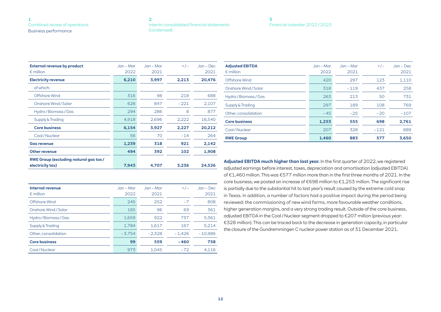#### **[2](#page-19-0)** [Interim consolidated financial statements](#page-19-0)  [\(condensed\)](#page-19-0)

#### **[3](#page-24-0)** [Financial calendar 2022 / 2023](#page-24-0)

| <b>External revenue by product</b><br>$\epsilon$ million         | Jan – Mar<br>2022 | Jan – Mar<br>2021 | $+/-$  | $Jan - Dec$<br>2021 |
|------------------------------------------------------------------|-------------------|-------------------|--------|---------------------|
| <b>Electricity revenue</b>                                       | 6,210             | 3,997             | 2,213  | 20,476              |
| of which:                                                        |                   |                   |        |                     |
| Offshore Wind                                                    | 316               | 98                | 218    | 688                 |
| Onshore Wind / Solar                                             | 626               | 847               | $-221$ | 2,107               |
| Hydro / Biomass / Gas                                            | 294               | 286               | 8      | 877                 |
| Supply & Trading                                                 | 4,918             | 2.696             | 2,222  | 16,540              |
| <b>Core business</b>                                             | 6,154             | 3,927             | 2,227  | 20,212              |
| Coal/Nuclear                                                     | 56                | 70                | $-14$  | 264                 |
| <b>Gas revenue</b>                                               | 1,239             | 318               | 921    | 2,142               |
| <b>Other revenue</b>                                             | 494               | 392               | 102    | 1,908               |
| <b>RWE Group (excluding natural gas tax/</b><br>electricity tax) | 7.943             | 4.707             | 3.236  | 24.526              |

| Internal revenue<br>$\epsilon$ million | $Jan - Mar$<br>2022 | Jan – Mar<br>2021 | $+/-$    | $Jan - Dec$<br>2021 |
|----------------------------------------|---------------------|-------------------|----------|---------------------|
| Offshore Wind                          | 245                 | 252               | $-7$     | 808                 |
| Onshore Wind/Solar                     | 165                 | 96                | 69       | 361                 |
| Hydro / Biomass / Gas                  | 1.659               | 922               | 737      | 5,361               |
| Supply & Trading                       | 1.784               | 1.617             | 167      | 5.214               |
| Other, consolidation                   | $-3.754$            | $-2.328$          | $-1.426$ | $-10.986$           |
| <b>Core business</b>                   | 99                  | 559               | $-460$   | 758                 |
| Coal/Nuclear                           | 973                 | 1.045             | $-72$    | 4.116               |

| <b>Adjusted EBITDA</b><br>$\epsilon$ million | $Jan - Mar$<br>2022 | $Jan - Mar$<br>2021 | $+/-$  | $Jan - Dec$<br>2021 |
|----------------------------------------------|---------------------|---------------------|--------|---------------------|
| Offshore Wind                                | 420                 | 297                 | 123    | 1.110               |
| Onshore Wind / Solar                         | 318                 | $-119$              | 437    | 258                 |
| Hydro / Biomass / Gas                        | 263                 | 213                 | 50     | 731                 |
| Supply & Trading                             | 297                 | 189                 | 108    | 769                 |
| Other, consolidation                         | $-45$               | $-25$               | $-20$  | $-107$              |
| <b>Core business</b>                         | 1,253               | 555                 | 698    | 2,761               |
| Coal/Nuclear                                 | 207                 | 328                 | $-121$ | 889                 |
| <b>RWE Group</b>                             | 1,460               | 883                 | 577    | 3.650               |

**Adjusted EBITDA much higher than last year.** In the first quarter of 2022, we registered adjusted earnings before interest, taxes, depreciation and amortisation (adjusted EBITDA) of €1,460 million. This was €577 million more than in the first three months of 2021. In the core business, we posted an increase of €698 million to €1,253 million. The significant rise is partially due to the substantial hit to last year's result caused by the extreme cold snap in Texas. In addition, a number of factors had a positive impact during the period being reviewed: the commissioning of new wind farms, more favourable weather conditions, higher generation margins, and a very strong trading result. Outside of the core business, adjusted EBITDA in the Coal / Nuclear segment dropped to €207 million (previous year: €328 million). This can be traced back to the decrease in generation capacity, in particular the closure of the Gundremmingen C nuclear power station as of 31 December 2021.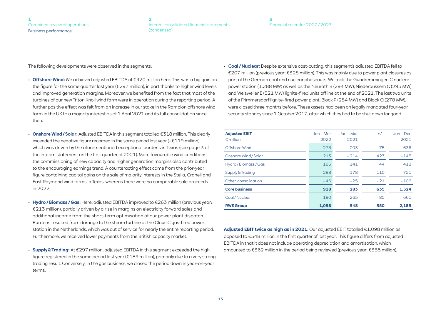#### **[3](#page-24-0)** [Financial calendar 2022 / 2023](#page-24-0)

The following developments were observed in the segments:

- **Offshore Wind:** We achieved adjusted EBITDA of €420 million here. This was a big gain on the figure for the same quarter last year (€297 million), in part thanks to higher wind levels and improved generation margins. Moreover, we benefited from the fact that most of the turbines of our new Triton Knoll wind farm were in operation during the reporting period. A further positive effect was felt from an increase in our stake in the Rampion offshore wind farm in the UK to a majority interest as of 1 April 2021 and its full consolidation since then.
- **Onshore Wind / Solar:** Adjusted EBITDA in this segment totalled €318 million. This clearly exceeded the negative figure recorded in the same period last year ( $-\epsilon$ 119 million), which was driven by the aforementioned exceptional burdens in Texas (see page 3 of the interim statement on the first quarter of 2021). More favourable wind conditions, the commissioning of new capacity and higher generation margins also contributed to the encouraging earnings trend. A counteracting effect came from the prior-year figure containing capital gains on the sale of majority interests in the Stella, Cranell and East Raymond wind farms in Texas, whereas there were no comparable sale proceeds in 2022.
- **Hydro / Biomass / Gas:** Here, adjusted EBITDA improved to €263 million (previous year: €213 million), partially driven by a rise in margins on electricity forward sales and additional income from the short-term optimisation of our power plant dispatch. Burdens resulted from damage to the steam turbine at the Claus C gas-fired power station in the Netherlands, which was out of service for nearly the entire reporting period. Furthermore, we received lower payments from the British capacity market.
- **Supply & Trading:** At €297 million, adjusted EBITDA in this segment exceeded the high figure registered in the same period last year (€189 million), primarily due to a very strong trading result. Conversely, in the gas business, we closed the period down in year-on-year terms.

• **Coal / Nuclear:** Despite extensive cost-cutting, this segment's adjusted EBITDA fell to €207 million (previous year: €328 million). This was mainly due to power plant closures as part of the German coal and nuclear phaseouts. We took the Gundremmingen C nuclear power station (1,288 MW) as well as the Neurath B (294 MW), Niederaussem C (295 MW) and Weisweiler E (321 MW) lignite-fired units offline at the end of 2021. The last two units of the Frimmersdorf lignite-fired power plant, Block P (284 MW) and Block Q (278 MW), were closed three months before. These assets had been on legally mandated four-year security standby since 1 October 2017, after which they had to be shut down for good.

| <b>Adjusted EBIT</b><br>$\epsilon$ million | $Jan - Mar$<br>2022 | Jan – Mar<br>2021 | $+/-$ | $Jan - Dec$<br>2021 |
|--------------------------------------------|---------------------|-------------------|-------|---------------------|
| Offshore Wind                              | 278                 | 203               | 75    | 636                 |
| Onshore Wind / Solar                       | 213                 | $-214$            | 427   | $-145$              |
| Hydro / Biomass / Gas                      | 185                 | 141               | 44    | 418                 |
| Supply & Trading                           | 288                 | 178               | 110   | 721                 |
| Other, consolidation                       | $-46$               | $-25$             | $-21$ | $-106$              |
| <b>Core business</b>                       | 918                 | 283               | 635   | 1,524               |
| Coal/Nuclear                               | 180                 | 265               | $-85$ | 661                 |
| <b>RWE Group</b>                           | 1,098               | 548               | 550   | 2,185               |

**Adjusted EBIT twice as high as in 2021.** Our adjusted EBIT totalled €1,098 million as opposed to €548 million in the first quarter of last year. This figure differs from adjusted EBITDA in that it does not include operating depreciation and amortisation, which amounted to €362 million in the period being reviewed (previous year: €335 million).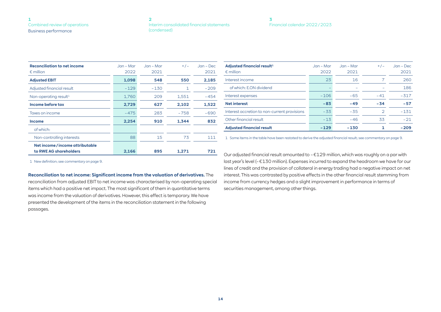#### **[2](#page-19-0)** [Interim consolidated financial statements](#page-19-0)  [\(condensed\)](#page-19-0)

| Financial calendar 2022/2023 |  |
|------------------------------|--|

| <b>Reconciliation to net income</b><br>$\epsilon$ million | $Jan - Mar$<br>2022 | $Jan - Mar$<br>2021 | $+/-$  | $Jan - Dec$<br>2021 |
|-----------------------------------------------------------|---------------------|---------------------|--------|---------------------|
| <b>Adjusted EBIT</b>                                      | 1,098               | 548                 | 550    | 2,185               |
| Adjusted financial result                                 | $-129$              | $-130$              | 1      | $-209$              |
| Non-operating result <sup>1</sup>                         | 1,760               | 209                 | 1,551  | $-454$              |
| Income before tax                                         | 2,729               | 627                 | 2,102  | 1,522               |
| Taxes on income                                           | $-475$              | 283                 | $-758$ | $-690$              |
| <b>Income</b>                                             | 2,254               | 910                 | 1,344  | 832                 |
| of which:                                                 |                     |                     |        |                     |
| Non-controlling interests                                 | 88                  | 15                  | 73     | 111                 |
| Net income/income attributable                            |                     |                     |        |                     |
| to RWE AG shareholders                                    | 2,166               | 895                 | 1.271  | 721                 |

| <b>Adjusted financial result1</b><br>$\epsilon$ million | Jan – Mar<br>2022 | $Jan - Mar$<br>2021 | $+/-$ | $Jan - Dec$<br>2021 |
|---------------------------------------------------------|-------------------|---------------------|-------|---------------------|
| Interest income                                         | 23                | 16                  |       | 260                 |
| of which: E.ON dividend                                 |                   |                     |       | 186                 |
| Interest expenses                                       | $-106$            | $-65$               | $-41$ | $-317$              |
| <b>Net interest</b>                                     | $-83$             | $-49$               | $-34$ | $-57$               |
| Interest accretion to non-current provisions            | $-33$             | $-35$               |       | $-131$              |
| Other financial result                                  | $-13$             | $-46$               | 33    | $-21$               |
| <b>Adjusted financial result</b>                        | $-129$            | $-130$              |       | $-209$              |

1 Some items in the table have been restated to derive the adjusted financial result; see commentary on [page 9.](#page-8-0)

1 New definition; see commentary on [page 9](#page-8-0).

#### **Reconciliation to net income: Significant income from the valuation of derivatives.** The

reconciliation from adjusted EBIT to net income was characterised by non-operating special items which had a positive net impact. The most significant of them in quantitative terms was income from the valuation of derivatives. However, this effect is temporary. We have presented the development of the items in the reconciliation statement in the following passages.

Our adjusted financial result amounted to – €129 million, which was roughly on a par with last year's level (– €130 million). Expenses incurred to expand the headroom we have for our lines of credit and the provision of collateral in energy trading had a negative impact on net interest. This was contrasted by positive effects in the other financial result stemming from income from currency hedges and a slight improvement in performance in terms of securities management, among other things.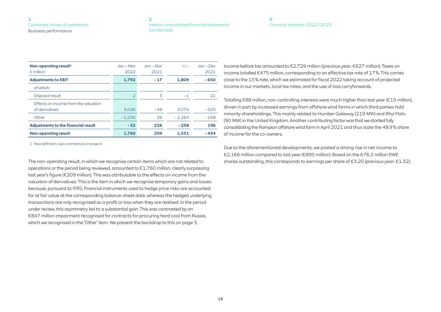| Interim consolidated financial statements |
|-------------------------------------------|
| (condensed)                               |

#### **[3](#page-24-0)** [Financial calendar 2022 / 2023](#page-24-0)

| Non-operating result <sup>1</sup><br>$\epsilon$ million | $Jan - Mar$<br>2022 | Jan – Mar<br>2021 | $+/-$    | $Jan - Dec$<br>2021 |
|---------------------------------------------------------|---------------------|-------------------|----------|---------------------|
| <b>Adjustments to EBIT</b>                              | 1,792               | $-17$             | 1,809    | $-650$              |
| of which:                                               |                     |                   |          |                     |
| Disposal result                                         | $\overline{2}$      | 3                 | $-1$     | 21                  |
| Effects on income from the valuation<br>of derivatives  | 3.026               | $-48$             | 3.074    | $-503$              |
| Other                                                   | $-1,236$            | 28                | $-1.264$ | $-168$              |
| <b>Adjustments to the financial result</b>              | $-32$               | 226               | $-258$   | 196                 |
| <b>Non-operating result</b>                             | 1.760               | 209               | 1.551    | $-454$              |

1 New definition; see commentary on [page 9.](#page-8-0)

The non-operating result, in which we recognise certain items which are not related to operations or the period being reviewed, amounted to €1,760 million, clearly surpassing last year's figure (€209 million). This was attributable to the effects on income from the valuation of derivatives. This is the item in which we recognise temporary gains and losses because, pursuant to IFRS, financial instruments used to hedge price risks are accounted for at fair value at the corresponding balance-sheet date, whereas the hedged underlying transactions are only recognised as a profit or loss when they are realised. In the period under review, this asymmetry led to a substantial gain. This was contrasted by an €847 million impairment recognised for contracts for procuring hard coal from Russia, which we recognised in the 'Other' item. We present the backdrop to this on [page 3.](#page-2-0)

Income before tax amounted to €2,729 million (previous year: €627 million). Taxes on income totalled €475 million, corresponding to an effective tax rate of 17 %. This comes close to the 15 % rate, which we estimated for fiscal 2022 taking account of projected income in our markets, local tax rates, and the use of loss carryforwards.

Totalling €88 million, non-controlling interests were much higher than last year (€15 million), driven in part by increased earnings from offshore wind farms in which third parties hold minority shareholdings. This mainly related to Humber Gateway (219 MW) and Rhyl Flats (90 MW) in the United Kingdom. Another contributing factor was that we started fully consolidating the Rampion offshore wind farm in April 2021 and thus state the 49.9 % share of income for the co-owners.

Due to the aforementioned developments, we posted a strong rise in net income to €2,166 million compared to last year (€895 million). Based on the 676.2 million RWE shares outstanding, this corresponds to earnings per share of  $\epsilon$ 3.20 (previous year:  $\epsilon$ 1.32).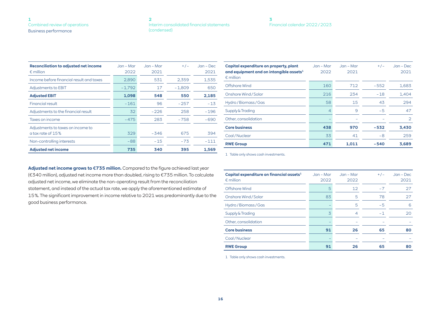#### **[2](#page-19-0)** [Interim consolidated financial statements](#page-19-0)  [\(condensed\)](#page-19-0)

| Financial calendar 2022/2023 |  |
|------------------------------|--|

| <b>Reconciliation to adjusted net income</b><br>$\epsilon$ million | Jan – Mar<br>2022 | Jan – Mar<br>2021 | $+/-$    | $Jan - Dec$<br>2021 |
|--------------------------------------------------------------------|-------------------|-------------------|----------|---------------------|
| Income before financial result and taxes                           | 2,890             | 531               | 2,359    | 1,535               |
| Adjustments to EBIT                                                | $-1.792$          | 17                | $-1.809$ | 650                 |
| <b>Adjusted EBIT</b>                                               | 1,098             | 548               | 550      | 2,185               |
| <b>Financial result</b>                                            | $-161$            | 96                | $-257$   | $-13$               |
| Adjustments to the financial result                                | 32                | $-226$            | 258      | $-196$              |
| Taxes on income                                                    | $-475$            | 283               | $-758$   | $-690$              |
| Adjustments to taxes on income to                                  |                   |                   |          |                     |
| a tax rate of 15%                                                  | 329               | $-346$            | 675      | 394                 |
| Non-controlling interests                                          | $-88$             | $-15$             | $-73$    | $-111$              |
| <b>Adjusted net income</b>                                         | 735               | 340               | 395      | 1.569               |

| Capital expenditure on property, plant<br>and equipment and on intangible assets $1$<br>$\epsilon$ million | $Jan - Mar$<br>2022 | $Jan - Mar$<br>2021 | $+/-$  | $Jan - Dec$<br>2021 |
|------------------------------------------------------------------------------------------------------------|---------------------|---------------------|--------|---------------------|
| Offshore Wind                                                                                              | 160                 | 712                 | $-552$ | 1,683               |
| Onshore Wind / Solar                                                                                       | 216                 | 234                 | $-18$  | 1.404               |
| Hydro / Biomass / Gas                                                                                      | 58                  | 15                  | 43     | 294                 |
| Supply & Trading                                                                                           | 4                   | 9                   | $-5$   | 47                  |
| Other, consolidation                                                                                       |                     |                     |        | $\overline{2}$      |
| <b>Core business</b>                                                                                       | 438                 | 970                 | -532   | 3,430               |
| Coal/Nuclear                                                                                               | 33                  | 41                  | $-8$   | 259                 |
| <b>RWE Group</b>                                                                                           | 471                 | 1.011               | -540   | 3,689               |

1 Table only shows cash investments.

| Adjusted net income grows to $E$ 735 million. Compared to the figure achieved last year     |
|---------------------------------------------------------------------------------------------|
| (€340 million), adjusted net income more than doubled, rising to €735 million. To calculate |
| adjusted net income, we eliminate the non-operating result from the reconciliation          |
| statement, and instead of the actual tax rate, we apply the aforementioned estimate of      |
| 15%. The significant improvement in income relative to 2021 was predominantly due to the    |
| good business performance.                                                                  |

| Capital expenditure on financial assets <sup>1</sup><br>$\epsilon$ million | Jan – Mar<br>2022 | $Jan - Mar$<br>2022 | $+/-$ | $Jan - Dec$<br>2021 |
|----------------------------------------------------------------------------|-------------------|---------------------|-------|---------------------|
| Offshore Wind                                                              | 5                 | 12                  | $-7$  | 27                  |
| Onshore Wind / Solar                                                       | 83                | 5                   | 78    | 27                  |
| Hydro / Biomass / Gas                                                      |                   | 5                   | $-5$  | 6                   |
| Supply & Trading                                                           | 3                 | 4                   | $-1$  | 20                  |
| Other, consolidation                                                       |                   |                     |       |                     |
| <b>Core business</b>                                                       | 91                | 26                  | 65    | 80                  |
| Coal/Nuclear                                                               |                   |                     |       |                     |
| <b>RWE Group</b>                                                           | 91                | 26                  | 65    | 80                  |

1 Table only shows cash investments.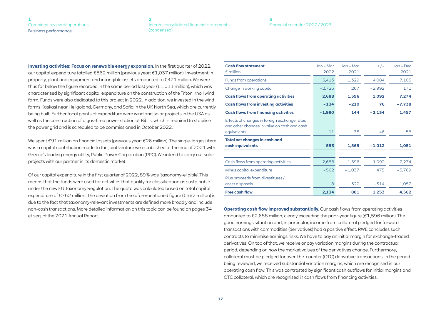#### **[2](#page-19-0)** [Interim consolidated financial statements](#page-19-0)  [\(condensed\)](#page-19-0)

#### **[3](#page-24-0)** [Financial calendar 2022 / 2023](#page-24-0)

**Investing activities: Focus on renewable energy expansion.** In the first quarter of 2022, our capital expenditure totalled €562 million (previous year: €1,037 million). Investment in property, plant and equipment and intangible assets amounted to €471 million. We were thus far below the figure recorded in the same period last year ( $\epsilon$ 1,011 million), which was characterised by significant capital expenditure on the construction of the Triton Knoll wind farm. Funds were also dedicated to this project in 2022. In addition, we invested in the wind farms Kaskasi near Heligoland, Germany, and Sofia in the UK North Sea, which are currently being built. Further focal points of expenditure were wind and solar projects in the USA as well as the construction of a gas-fired power station at Biblis, which is required to stabilise the power grid and is scheduled to be commissioned in October 2022.

We spent €91 million on financial assets (previous year: €26 million). The single-largest item was a capital contribution made to the joint venture we established at the end of 2021 with Greece's leading energy utility, Public Power Corporation (PPC). We intend to carry out solar projects with our partner in its domestic market.

Of our capital expenditure in the first quarter of 2022, 89 % was 'taxonomy-eligible'. This means that the funds were used for activities that qualify for classification as sustainable under the new EU Taxonomy Regulation. The quota was calculated based on total capital expenditure of €762 million. The deviation from the aforementioned figure (€562 million) is due to the fact that taxonomy-relevant investments are defined more broadly and include non-cash transactions. More detailed information on this topic can be found on pages 34 et seq. of the 2021 Annual Report.

| <b>Cash flow statement</b><br>$\epsilon$ million                                            | $Jan - Mar$<br>2022 | $Jan - Mar$<br>2021 | $+/-$    | $Jan - Dec$<br>2021 |
|---------------------------------------------------------------------------------------------|---------------------|---------------------|----------|---------------------|
| Funds from operations                                                                       | 5.413               | 1.329               | 4.084    | 7.103               |
| Change in working capital                                                                   | $-2,725$            | 267                 | $-2,992$ | 171                 |
| <b>Cash flows from operating activities</b>                                                 | 2.688               | 1.596               | 1,092    | 7,274               |
| <b>Cash flows from investing activities</b>                                                 | $-134$              | $-210$              | 76       | $-7,738$            |
| <b>Cash flows from financing activities</b>                                                 | $-1.990$            | 144                 | $-2.134$ | 1,457               |
| Effects of changes in foreign exchange rates<br>and other changes in value on cash and cash |                     |                     |          |                     |
| equivalents                                                                                 | $-11$               | 35                  | $-46$    | 58                  |
| <b>Total net changes in cash and</b>                                                        |                     |                     |          |                     |
| cash equivalents                                                                            | 553                 | 1,565               | $-1.012$ | 1,051               |
|                                                                                             |                     |                     |          |                     |
| Cash flows from operating activities                                                        | 2,688               | 1.596               | 1.092    | 7,274               |
| Minus capital expenditure                                                                   | $-562$              | $-1,037$            | 475      | $-3.769$            |
| Plus proceeds from divestitures /                                                           |                     |                     |          |                     |
| asset disposals                                                                             | 8                   | 322                 | $-314$   | 1,057               |
| <b>Free cash flow</b>                                                                       | 2,134               | 881                 | 1.253    | 4.562               |

**Operating cash flow improved substantially.** Our cash flows from operating activities amounted to €2,688 million, clearly exceeding the prior-year figure (€1,596 million). The good earnings situation and, in particular, income from collateral pledged for forward transactions with commodities (derivatives) had a positive effect. RWE concludes such contracts to minimise earnings risks. We have to pay an initial margin for exchange-traded derivatives. On top of that, we receive or pay variation margins during the contractual period, depending on how the market values of the derivatives change. Furthermore, collateral must be pledged for over-the-counter (OTC) derivative transactions. In the period being reviewed, we received substantial variation margins, which are recognised in our operating cash flow. This was contrasted by significant cash outflows for initial margins and OTC collateral, which are recognised in cash flows from financing activities.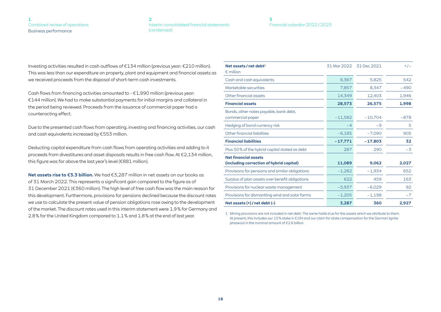#### **[2](#page-19-0)** [Interim consolidated financial statements](#page-19-0)  [\(condensed\)](#page-19-0)

#### **[3](#page-24-0)** [Financial calendar 2022 / 2023](#page-24-0)

Investing activities resulted in cash outflows of €134 million (previous year: €210 million). This was less than our expenditure on property, plant and equipment and financial assets as we received proceeds from the disposal of short-term cash investments.

Cash flows from financing activities amounted to  $-\epsilon$ 1,990 million (previous year: €144 million). We had to make substantial payments for initial margins and collateral in the period being reviewed. Proceeds from the issuance of commercial paper had a counteracting effect.

Due to the presented cash flows from operating, investing and financing activities, our cash and cash equivalents increased by €553 million.

Deducting capital expenditure from cash flows from operating activities and adding to it proceeds from divestitures and asset disposals results in free cash flow. At €2,134 million, this figure was far above the last year's level (€881 million).

**Net assets rise to €3.3 billion.** We had €3,287 million in net assets on our books as of 31 March 2022. This represents a significant gain compared to the figure as of 31 December 2021 (€360 million). The high level of free cash flow was the main reason for this development. Furthermore, provisions for pensions declined because the discount rates we use to calculate the present value of pension obligations rose owing to the development of the market. The discount rates used in this interim statement were 1.9 % for Germany and 2.8 % for the United Kingdom compared to 1.1<sup>8</sup> and 1.8<sup>*%*</sup> at the end of last year.<br>1 Mining provisions are not included in net debt. The same holds true for the assets which we attribute to them.

| Net assets/net debt $^1$<br>$\epsilon$ million                          | 31 Mar 2022 | 31 Dec 2021 | $+/-$  |
|-------------------------------------------------------------------------|-------------|-------------|--------|
| Cash and cash equivalents                                               | 6,367       | 5,825       | 542    |
| Marketable securities                                                   | 7,857       | 8,347       | $-490$ |
| Other financial assets                                                  | 14,349      | 12,403      | 1,946  |
| <b>Financial assets</b>                                                 | 28,573      | 26,575      | 1,998  |
| Bonds, other notes payable, bank debt,<br>commercial paper              | $-11,582$   | $-10,704$   | $-878$ |
| Hedging of bond currency risk                                           | $-4$        | -9          | 5      |
| Other financial liabilities                                             | $-6,185$    | $-7,090$    | 905    |
| <b>Financial liabilities</b>                                            | $-17,771$   | $-17,803$   | 32     |
| Plus 50% of the hybrid capital stated as debt                           | 287         | 290         | $-3$   |
| <b>Net financial assets</b><br>(including correction of hybrid capital) | 11,089      | 9,062       | 2,027  |
| Provisions for pensions and similar obligations                         | $-1,282$    | $-1,934$    | 652    |
| Surplus of plan assets over benefit obligations                         | 622         | 459         | 163    |
| Provisions for nuclear waste management                                 | $-5,937$    | $-6,029$    | 92     |
| Provisions for dismantling wind and solar farms                         | $-1,205$    | $-1,198$    | $-7$   |
| Net assets (+) / net debt (-)                                           | 3,287       | 360         | 2,927  |

At present, this includes our 15 % stake in E.ON and our claim for state compensation for the German lignite phaseout in the nominal amount of €2.6 billion.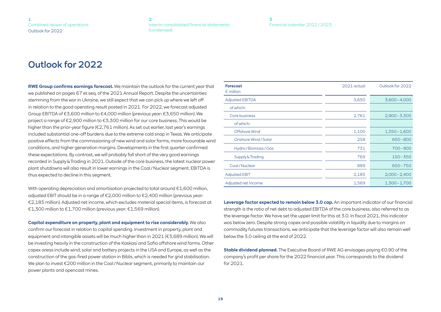# <span id="page-18-0"></span>Outlook for 2022

**RWE Group confirms earnings forecast.** We maintain the outlook for the current year that we published on pages 67 et seq. of the 2021 Annual Report. Despite the uncertainties stemming from the war in Ukraine, we still expect that we can pick up where we left off in relation to the good operating result posted in 2021. For 2022, we forecast adjusted Group EBITDA of €3,600 million to €4,000 million (previous year: €3,650 million). We project a range of €2,900 million to €3,300 million for our core business. This would be higher than the prior-year figure (€2,761 million). As set out earlier, last year's earnings included substantial one-off burdens due to the extreme cold snap in Texas. We anticipate positive effects from the commissioning of new wind and solar farms, more favourable wind conditions, and higher generation margins. Developments in the first quarter confirmed these expectations. By contrast, we will probably fall short of the very good earnings recorded in Supply & Trading in 2021. Outside of the core business, the latest nuclear power plant shutdowns will also result in lower earnings in the Coal / Nuclear segment. EBITDA is thus expected to decline in this segment.

With operating depreciation and amortisation projected to total around  $\epsilon$ 1,600 million, adjusted EBIT should be in a range of €2,000 million to €2,400 million (previous year: €2,185 million). Adjusted net income, which excludes material special items, is forecast at €1,300 million to €1,700 million (previous year: €1,569 million).

**Capital expenditure on property, plant and equipment to rise considerably.** We also confirm our forecast in relation to capital spending. Investment in property, plant and equipment and intangible assets will be much higher than in 2021 (€3,689 million). We will be investing heavily in the construction of the Kaskasi and Sofia offshore wind farms. Other capex areas include wind, solar and battery projects in the USA and Europe, as well as the construction of the gas-fired power station in Biblis, which is needed for grid stabilisation. We plan to invest €200 million in the Coal / Nuclear segment, primarily to maintain our power plants and opencast mines.

| <b>Forecast</b><br>$\epsilon$ million | 2021 actual | Outlook for 2022 |
|---------------------------------------|-------------|------------------|
| <b>Adjusted EBITDA</b>                | 3,650       | $3,600 - 4,000$  |
| of which:                             |             |                  |
| Core business                         | 2,761       | $2,900 - 3,300$  |
| of which:                             |             |                  |
| Offshore Wind                         | 1,100       | $1,350 - 1,600$  |
| Onshore Wind / Solar                  | 258         | $650 - 800$      |
| Hydro / Biomass / Gas                 | 731         | $700 - 900$      |
| Supply & Trading                      | 769         | $150 - 350$      |
| Coal/Nuclear                          | 889         | $650 - 750$      |
| <b>Adjusted EBIT</b>                  | 2,185       | $2,000 - 2,400$  |
| Adjusted net income                   | 1,569       | $1,300 - 1,700$  |

**Leverage factor expected to remain below 3.0 cap.** An important indicator of our financial strength is the ratio of net debt to adjusted EBITDA of the core business, also referred to as the leverage factor. We have set the upper limit for this at 3.0. In fiscal 2021, this indicator was below zero. Despite strong capex and possible volatility in liquidity due to margins on commodity futures transactions, we anticipate that the leverage factor will also remain well below the 3.0 ceiling at the end of 2022.

**Stable dividend planned.** The Executive Board of RWE AG envisages paying €0.90 of the company's profit per share for the 2022 financial year. This corresponds to the dividend for 2021.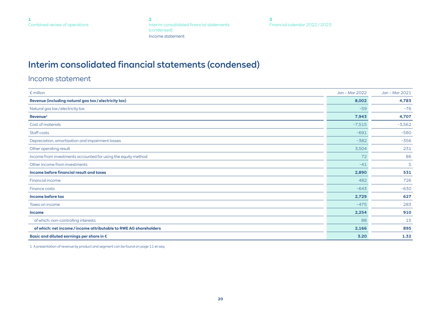**2** Interim consolidated financial statements (condensed) Income statement

**[3](#page-24-0)** [Financial calendar 2022 / 2023](#page-24-0)

# <span id="page-19-0"></span>Interim consolidated financial statements (condensed)

Income statement

| $\epsilon$ million                                                | Jan - Mar 2022 | Jan - Mar 2021 |
|-------------------------------------------------------------------|----------------|----------------|
| Revenue (including natural gas tax / electricity tax)             | 8,002          | 4,783          |
| Natural gas tax/electricity tax                                   | $-59$          | $-76$          |
| $Re$ venue $1$                                                    | 7,943          | 4,707          |
| Cost of materials                                                 | $-7,515$       | $-3,562$       |
| Staff costs                                                       | $-691$         | $-580$         |
| Depreciation, amortisation and impairment losses                  | $-382$         | $-356$         |
| Other operating result                                            | 3,504          | 231            |
| Income from investments accounted for using the equity method     | 72             | 86             |
| Other income from investments                                     | $-41$          | 5              |
| Income before financial result and taxes                          | 2,890          | 531            |
| Financial income                                                  | 482            | 726            |
| Finance costs                                                     | $-643$         | $-630$         |
| Income before tax                                                 | 2,729          | 627            |
| Taxes on income                                                   | $-475$         | 283            |
| <b>Income</b>                                                     | 2,254          | 910            |
| of which: non-controlling interests                               | 88             | 15             |
| of which: net income / income attributable to RWE AG shareholders | 2,166          | 895            |
| Basic and diluted earnings per share in $\epsilon$                | 3.20           | 1.32           |

1 A presentation of revenue by product and segment can be found on [page 11 et seq.](#page-10-0)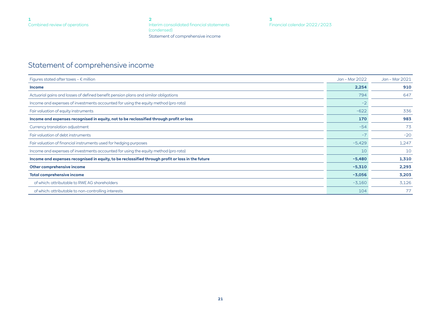**[2](#page-19-0)** [Interim consolidated financial statements](#page-19-0)  [\(condensed\)](#page-19-0) Statement of comprehensive income

# <span id="page-20-0"></span>Statement of comprehensive income

| Figures stated after taxes - $\epsilon$ million                                                   | Jan - Mar 2022 | Jan - Mar 2021 |
|---------------------------------------------------------------------------------------------------|----------------|----------------|
| <b>Income</b>                                                                                     | 2,254          | 910            |
| Actuarial gains and losses of defined benefit pension plans and similar obligations               | 794            | 647            |
| Income and expenses of investments accounted for using the equity method (pro rata)               | $-2$           |                |
| Fair valuation of equity instruments                                                              | $-622$         | 336            |
| Income and expenses recognised in equity, not to be reclassified through profit or loss           | 170            | 983            |
| Currency translation adjustment                                                                   | $-54$          | 73             |
| Fair valuation of debt instruments                                                                | $-7$           | $-20$          |
| Fair valuation of financial instruments used for hedging purposes                                 | $-5,429$       | 1,247          |
| Income and expenses of investments accounted for using the equity method (pro rata)               | 10             | 10             |
| Income and expenses recognised in equity, to be reclassified through profit or loss in the future | $-5,480$       | 1,310          |
| Other comprehensive income                                                                        | $-5,310$       | 2,293          |
| <b>Total comprehensive income</b>                                                                 | $-3,056$       | 3,203          |
| of which: attributable to RWE AG shareholders                                                     | $-3,160$       | 3,126          |
| of which: attributable to non-controlling interests                                               | 104            | 77             |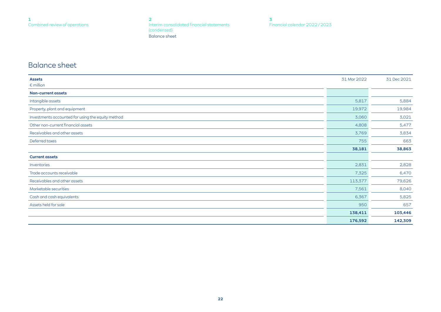**[2](#page-19-0)** [Interim consolidated financial statements](#page-19-0)  [\(condensed\)](#page-19-0) Balance sheet

**[3](#page-24-0)** [Financial calendar 2022 / 2023](#page-24-0)

## <span id="page-21-0"></span>Balance sheet

| <b>Assets</b>                                     | 31 Mar 2022 | 31 Dec 2021 |
|---------------------------------------------------|-------------|-------------|
| $\epsilon$ million                                |             |             |
| <b>Non-current assets</b>                         |             |             |
| Intangible assets                                 | 5,817       | 5,884       |
| Property, plant and equipment                     | 19,972      | 19,984      |
| Investments accounted for using the equity method | 3,060       | 3,021       |
| Other non-current financial assets                | 4,808       | 5,477       |
| Receivables and other assets                      | 3,769       | 3,834       |
| Deferred taxes                                    | 755         | 663         |
|                                                   | 38,181      | 38,863      |
| <b>Current assets</b>                             |             |             |
| Inventories                                       | 2,831       | 2,828       |
| Trade accounts receivable                         | 7,325       | 6,470       |
| Receivables and other assets                      | 113,377     | 79,626      |
| Marketable securities                             | 7,561       | 8,040       |
| Cash and cash equivalents                         | 6,367       | 5,825       |
| Assets held for sale                              | 950         | 657         |
|                                                   | 138,411     | 103,446     |
|                                                   | 176,592     | 142,309     |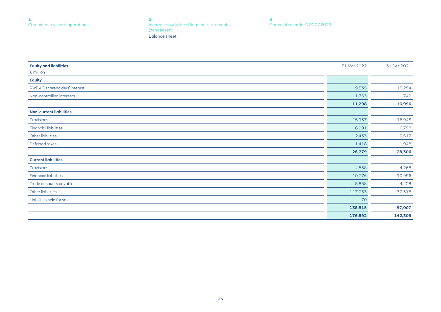**[2](#page-19-0)** [Interim consolidated financial statements](#page-19-0)  [\(condensed\)](#page-19-0) Balance sheet

**[3](#page-24-0)** [Financial calendar 2022 / 2023](#page-24-0)

| <b>Equity and liabilities</b>  | 31 Mar 2022 | 31 Dec 2021 |
|--------------------------------|-------------|-------------|
| $\epsilon$ million             |             |             |
| <b>Equity</b>                  |             |             |
| RWE AG shareholders' interest  | 9,535       | 15,254      |
| Non-controlling interests      | 1,763       | 1,742       |
|                                | 11,298      | 16,996      |
| <b>Non-current liabilities</b> |             |             |
| Provisions                     | 15,937      | 16,943      |
| <b>Financial liabilities</b>   | 6,991       | 6,798       |
| Other liabilities              | 2,433       | 2,617       |
| Deferred taxes                 | 1,418       | 1,948       |
|                                | 26,779      | 28,306      |
| <b>Current liabilities</b>     |             |             |
| Provisions                     | 4,558       | 4,268       |
| <b>Financial liabilities</b>   | 10,776      | 10,996      |
| Trade accounts payable         | 5,858       | 4,428       |
| Other liabilities              | 117,253     | 77,315      |
| Liabilities held for sale      | 70          |             |
|                                | 138,515     | 97,007      |
|                                | 176,592     | 142,309     |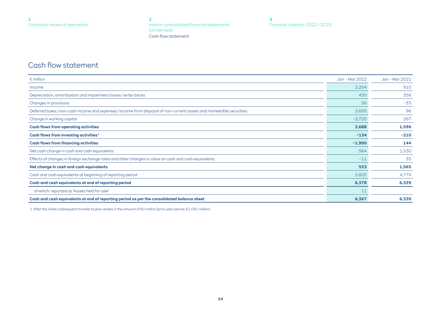**[2](#page-19-0)** [Interim consolidated financial statements](#page-19-0)  [\(condensed\)](#page-19-0) Cash flow statement

## <span id="page-23-0"></span>Cash flow statement

| $\epsilon$ million                                                                                                   | Jan - Mar 2022 | Jan - Mar 2021 |
|----------------------------------------------------------------------------------------------------------------------|----------------|----------------|
| Income                                                                                                               | 2,254          | 910            |
| Depreciation, amortisation and impairment losses / write-backs                                                       | 430            | 356            |
| Changes in provisions                                                                                                | 36             | $-33$          |
| Deferred taxes / non-cash income and expenses / income from disposal of non-current assets and marketable securities | 2,693          | 96             |
| Change in working capital                                                                                            | $-2,725$       | 267            |
| <b>Cash flows from operating activities</b>                                                                          | 2,688          | 1,596          |
| Cash flows from investing activities <sup>1</sup>                                                                    | $-134$         | $-210$         |
| <b>Cash flows from financing activities</b>                                                                          | $-1,990$       | 144            |
| Net cash change in cash and cash equivalents                                                                         | 564            | 1,530          |
| Effects of changes in foreign exchange rates and other changes in value on cash and cash equivalents                 | $-11$          | 35             |
| Net change in cash and cash equivalents                                                                              | 553            | 1,565          |
| Cash and cash equivalents at beginning of reporting period                                                           | 5,825          | 4,774          |
| Cash and cash equivalents at end of reporting period                                                                 | 6,378          | 6,339          |
| of which: reported as 'Assets held for sale'                                                                         | 11             |                |
| Cash and cash equivalents at end of reporting period as per the consolidated balance sheet                           | 6,367          | 6,339          |

1 After the initial / subsequent transfer to plan assets in the amount of €0 million (prior-year period: €1,091 million).